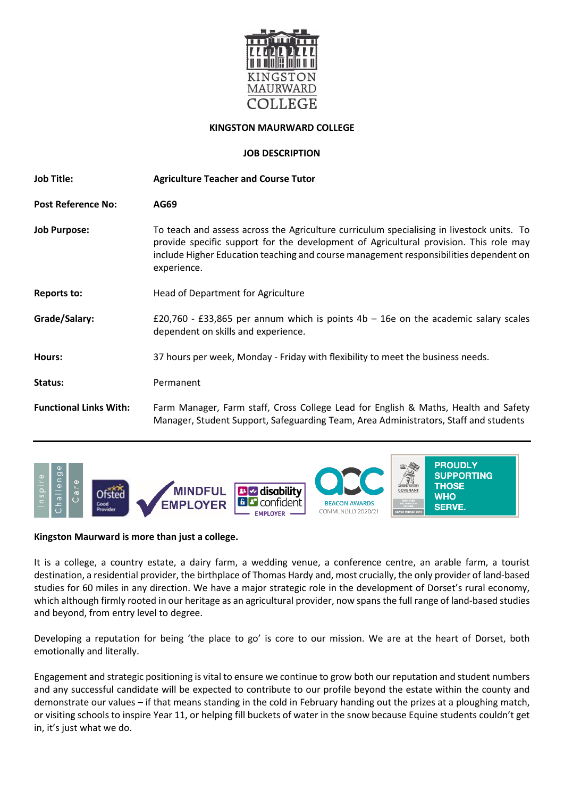

## **KINGSTON MAURWARD COLLEGE**

### **JOB DESCRIPTION**

| <b>Job Title:</b>             | <b>Agriculture Teacher and Course Tutor</b>                                                                                                                                                                                                                                                |  |
|-------------------------------|--------------------------------------------------------------------------------------------------------------------------------------------------------------------------------------------------------------------------------------------------------------------------------------------|--|
| <b>Post Reference No:</b>     | AG69                                                                                                                                                                                                                                                                                       |  |
| <b>Job Purpose:</b>           | To teach and assess across the Agriculture curriculum specialising in livestock units. To<br>provide specific support for the development of Agricultural provision. This role may<br>include Higher Education teaching and course management responsibilities dependent on<br>experience. |  |
| <b>Reports to:</b>            | Head of Department for Agriculture                                                                                                                                                                                                                                                         |  |
| Grade/Salary:                 | £20,760 - £33,865 per annum which is points $4b - 16e$ on the academic salary scales<br>dependent on skills and experience.                                                                                                                                                                |  |
| Hours:                        | 37 hours per week, Monday - Friday with flexibility to meet the business needs.                                                                                                                                                                                                            |  |
| Status:                       | Permanent                                                                                                                                                                                                                                                                                  |  |
| <b>Functional Links With:</b> | Farm Manager, Farm staff, Cross College Lead for English & Maths, Health and Safety<br>Manager, Student Support, Safeguarding Team, Area Administrators, Staff and students                                                                                                                |  |



### **Kingston Maurward is more than just a college.**

It is a college, a country estate, a dairy farm, a wedding venue, a conference centre, an arable farm, a tourist destination, a residential provider, the birthplace of Thomas Hardy and, most crucially, the only provider of land-based studies for 60 miles in any direction. We have a major strategic role in the development of Dorset's rural economy, which although firmly rooted in our heritage as an agricultural provider, now spans the full range of land-based studies and beyond, from entry level to degree.

Developing a reputation for being 'the place to go' is core to our mission. We are at the heart of Dorset, both emotionally and literally.

Engagement and strategic positioning is vital to ensure we continue to grow both our reputation and student numbers and any successful candidate will be expected to contribute to our profile beyond the estate within the county and demonstrate our values – if that means standing in the cold in February handing out the prizes at a ploughing match, or visiting schools to inspire Year 11, or helping fill buckets of water in the snow because Equine students couldn't get in, it's just what we do.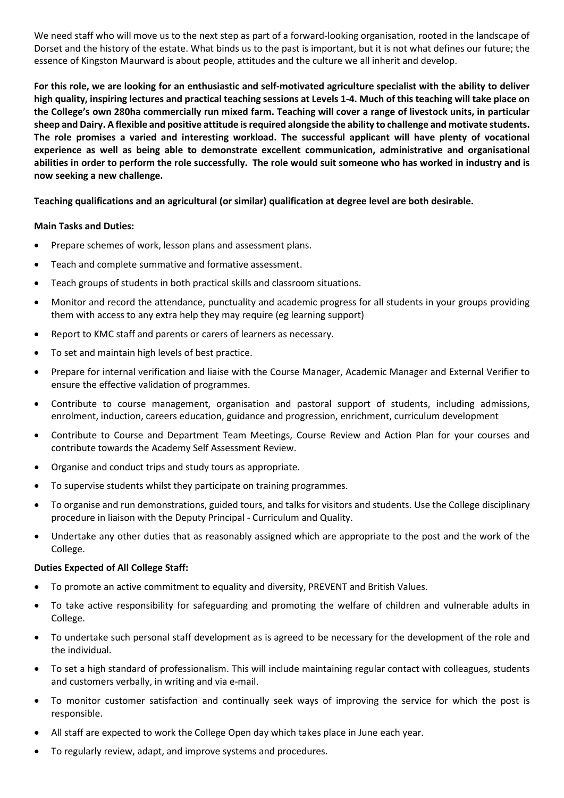We need staff who will move us to the next step as part of a forward-looking organisation, rooted in the landscape of Dorset and the history of the estate. What binds us to the past is important, but it is not what defines our future; the essence of Kingston Maurward is about people, attitudes and the culture we all inherit and develop.

**For this role, we are looking for an enthusiastic and self-motivated agriculture specialist with the ability to deliver high quality, inspiring lectures and practical teaching sessions at Levels 1-4. Much of this teaching will take place on the College's own 280ha commercially run mixed farm. Teaching will cover a range of livestock units, in particular sheep and Dairy. A flexible and positive attitude is required alongside the ability to challenge and motivate students. The role promises a varied and interesting workload. The successful applicant will have plenty of vocational experience as well as being able to demonstrate excellent communication, administrative and organisational abilities in order to perform the role successfully. The role would suit someone who has worked in industry and is now seeking a new challenge.** 

## **Teaching qualifications and an agricultural (or similar) qualification at degree level are both desirable.**

## **Main Tasks and Duties:**

- Prepare schemes of work, lesson plans and assessment plans.
- Teach and complete summative and formative assessment.
- Teach groups of students in both practical skills and classroom situations.
- Monitor and record the attendance, punctuality and academic progress for all students in your groups providing them with access to any extra help they may require (eg learning support)
- Report to KMC staff and parents or carers of learners as necessary.
- To set and maintain high levels of best practice.
- Prepare for internal verification and liaise with the Course Manager, Academic Manager and External Verifier to ensure the effective validation of programmes.
- Contribute to course management, organisation and pastoral support of students, including admissions, enrolment, induction, careers education, guidance and progression, enrichment, curriculum development
- Contribute to Course and Department Team Meetings, Course Review and Action Plan for your courses and contribute towards the Academy Self Assessment Review.
- Organise and conduct trips and study tours as appropriate.
- To supervise students whilst they participate on training programmes.
- To organise and run demonstrations, guided tours, and talks for visitors and students. Use the College disciplinary procedure in liaison with the Deputy Principal - Curriculum and Quality.
- Undertake any other duties that as reasonably assigned which are appropriate to the post and the work of the College.

### **Duties Expected of All College Staff:**

- To promote an active commitment to equality and diversity, PREVENT and British Values.
- To take active responsibility for safeguarding and promoting the welfare of children and vulnerable adults in College.
- To undertake such personal staff development as is agreed to be necessary for the development of the role and the individual.
- To set a high standard of professionalism. This will include maintaining regular contact with colleagues, students and customers verbally, in writing and via e-mail.
- To monitor customer satisfaction and continually seek ways of improving the service for which the post is responsible.
- All staff are expected to work the College Open day which takes place in June each year.
- To regularly review, adapt, and improve systems and procedures.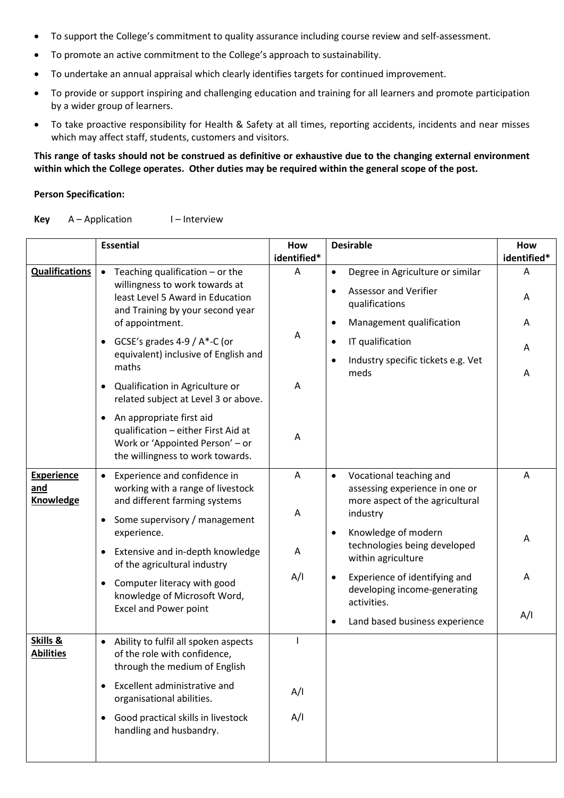- To support the College's commitment to quality assurance including course review and self-assessment.
- To promote an active commitment to the College's approach to sustainability.
- To undertake an annual appraisal which clearly identifies targets for continued improvement.
- To provide or support inspiring and challenging education and training for all learners and promote participation by a wider group of learners.
- To take proactive responsibility for Health & Safety at all times, reporting accidents, incidents and near misses which may affect staff, students, customers and visitors.

**This range of tasks should not be construed as definitive or exhaustive due to the changing external environment within which the College operates. Other duties may be required within the general scope of the post.**

### **Person Specification:**

#### Key A-Application I-Interview

|                              | <b>Essential</b>                                                                                                                                                               |                  | <b>Desirable</b>                                                                                     | How              |
|------------------------------|--------------------------------------------------------------------------------------------------------------------------------------------------------------------------------|------------------|------------------------------------------------------------------------------------------------------|------------------|
| <b>Qualifications</b>        | Teaching qualification - or the                                                                                                                                                | identified*<br>A | Degree in Agriculture or similar<br>$\bullet$                                                        | identified*<br>Α |
|                              | willingness to work towards at<br>least Level 5 Award in Education<br>and Training by your second year<br>of appointment.                                                      |                  | <b>Assessor and Verifier</b><br>$\bullet$<br>qualifications<br>Management qualification<br>$\bullet$ | Α<br>A           |
|                              | GCSE's grades $4-9/$ A $*$ -C (or<br>$\bullet$<br>equivalent) inclusive of English and<br>maths                                                                                | A                | IT qualification<br>$\bullet$<br>Industry specific tickets e.g. Vet<br>$\bullet$<br>meds             | Α                |
|                              | Qualification in Agriculture or<br>related subject at Level 3 or above.                                                                                                        | A                |                                                                                                      | A                |
|                              | An appropriate first aid<br>qualification - either First Aid at<br>Work or 'Appointed Person' - or<br>the willingness to work towards.                                         | A                |                                                                                                      |                  |
| <b>Experience</b><br>and     | Experience and confidence in<br>$\bullet$<br>working with a range of livestock                                                                                                 | A                | Vocational teaching and<br>$\bullet$<br>assessing experience in one or                               | A                |
| Knowledge                    | and different farming systems<br>Some supervisory / management                                                                                                                 | Α                | more aspect of the agricultural<br>industry                                                          |                  |
|                              | experience.<br>Extensive and in-depth knowledge<br>of the agricultural industry<br>Computer literacy with good<br>knowledge of Microsoft Word,<br><b>Excel and Power point</b> | Α                | Knowledge of modern<br>$\bullet$<br>technologies being developed<br>within agriculture               | A                |
|                              |                                                                                                                                                                                | A/I              | Experience of identifying and<br>$\bullet$<br>developing income-generating<br>activities.            | A                |
|                              |                                                                                                                                                                                |                  | Land based business experience<br>$\bullet$                                                          | A/I              |
| Skills &<br><b>Abilities</b> | Ability to fulfil all spoken aspects<br>of the role with confidence,<br>through the medium of English                                                                          | ı                |                                                                                                      |                  |
|                              | Excellent administrative and<br>$\bullet$<br>organisational abilities.                                                                                                         | A/I              |                                                                                                      |                  |
|                              | Good practical skills in livestock<br>$\bullet$<br>handling and husbandry.                                                                                                     | A/I              |                                                                                                      |                  |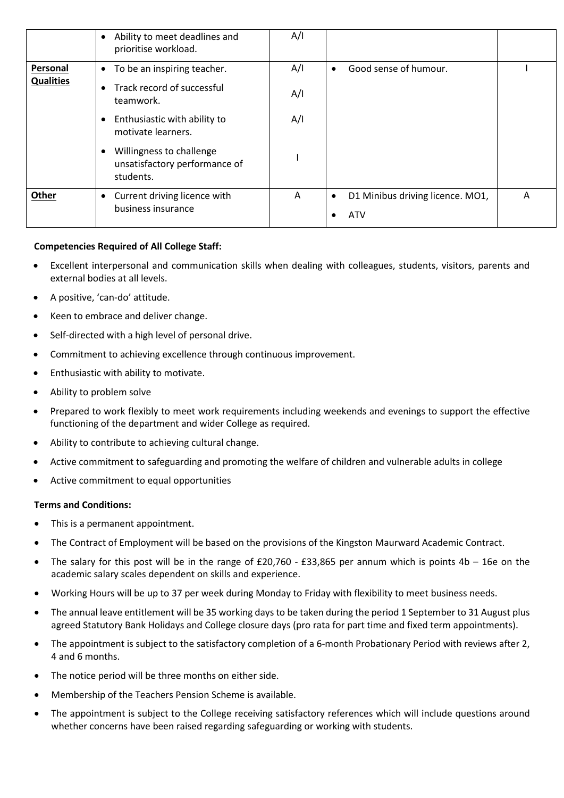|                  | Ability to meet deadlines and<br>$\bullet$<br>prioritise workload.     | A/I |                                                             |   |
|------------------|------------------------------------------------------------------------|-----|-------------------------------------------------------------|---|
| <b>Personal</b>  | To be an inspiring teacher.<br>$\bullet$                               | A/I | Good sense of humour.<br>$\bullet$                          |   |
| <b>Qualities</b> | Track record of successful<br>$\bullet$<br>teamwork.                   | A/I |                                                             |   |
|                  | Enthusiastic with ability to<br>motivate learners.                     | A/I |                                                             |   |
|                  | Willingness to challenge<br>unsatisfactory performance of<br>students. |     |                                                             |   |
| Other            | Current driving licence with<br>$\bullet$<br>business insurance        | A   | D1 Minibus driving licence. MO1,<br>$\bullet$<br><b>ATV</b> | Α |

# **Competencies Required of All College Staff:**

- Excellent interpersonal and communication skills when dealing with colleagues, students, visitors, parents and external bodies at all levels.
- A positive, 'can-do' attitude.
- Keen to embrace and deliver change.
- Self-directed with a high level of personal drive.
- Commitment to achieving excellence through continuous improvement.
- Enthusiastic with ability to motivate.
- Ability to problem solve
- Prepared to work flexibly to meet work requirements including weekends and evenings to support the effective functioning of the department and wider College as required.
- Ability to contribute to achieving cultural change.
- Active commitment to safeguarding and promoting the welfare of children and vulnerable adults in college
- Active commitment to equal opportunities

### **Terms and Conditions:**

- This is a permanent appointment.
- The Contract of Employment will be based on the provisions of the Kingston Maurward Academic Contract.
- The salary for this post will be in the range of £20,760 £33,865 per annum which is points  $4b 16e$  on the academic salary scales dependent on skills and experience.
- Working Hours will be up to 37 per week during Monday to Friday with flexibility to meet business needs.
- The annual leave entitlement will be 35 working days to be taken during the period 1 September to 31 August plus agreed Statutory Bank Holidays and College closure days (pro rata for part time and fixed term appointments).
- The appointment is subject to the satisfactory completion of a 6-month Probationary Period with reviews after 2, 4 and 6 months.
- The notice period will be three months on either side.
- Membership of the Teachers Pension Scheme is available.
- The appointment is subject to the College receiving satisfactory references which will include questions around whether concerns have been raised regarding safeguarding or working with students.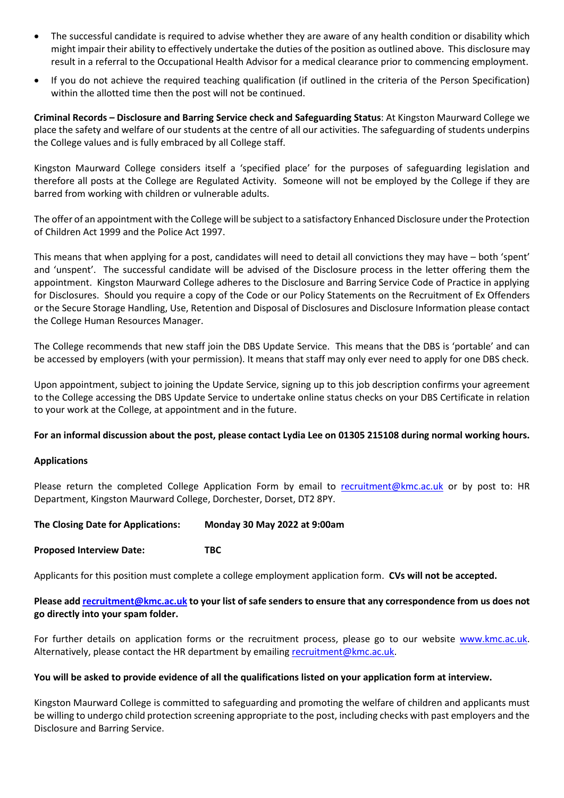- The successful candidate is required to advise whether they are aware of any health condition or disability which might impair their ability to effectively undertake the duties of the position as outlined above. This disclosure may result in a referral to the Occupational Health Advisor for a medical clearance prior to commencing employment.
- If you do not achieve the required teaching qualification (if outlined in the criteria of the Person Specification) within the allotted time then the post will not be continued.

**Criminal Records – Disclosure and Barring Service check and Safeguarding Status**: At Kingston Maurward College we place the safety and welfare of our students at the centre of all our activities. The safeguarding of students underpins the College values and is fully embraced by all College staff.

Kingston Maurward College considers itself a 'specified place' for the purposes of safeguarding legislation and therefore all posts at the College are Regulated Activity. Someone will not be employed by the College if they are barred from working with children or vulnerable adults.

The offer of an appointment with the College will be subject to a satisfactory Enhanced Disclosure under the Protection of Children Act 1999 and the Police Act 1997.

This means that when applying for a post, candidates will need to detail all convictions they may have – both 'spent' and 'unspent'. The successful candidate will be advised of the Disclosure process in the letter offering them the appointment. Kingston Maurward College adheres to the Disclosure and Barring Service Code of Practice in applying for Disclosures. Should you require a copy of the Code or our Policy Statements on the Recruitment of Ex Offenders or the Secure Storage Handling, Use, Retention and Disposal of Disclosures and Disclosure Information please contact the College Human Resources Manager.

The College recommends that new staff join the DBS Update Service. This means that the DBS is 'portable' and can be accessed by employers (with your permission). It means that staff may only ever need to apply for one DBS check.

Upon appointment, subject to joining the Update Service, signing up to this job description confirms your agreement to the College accessing the DBS Update Service to undertake online status checks on your DBS Certificate in relation to your work at the College, at appointment and in the future.

### **For an informal discussion about the post, please contact Lydia Lee on 01305 215108 during normal working hours.**

### **Applications**

Please return the completed College Application Form by email to [recruitment@kmc.ac.uk](mailto:recruitment@kmc.ac.uk) or by post to: HR Department, Kingston Maurward College, Dorchester, Dorset, DT2 8PY.

### **The Closing Date for Applications: Monday 30 May 2022 at 9:00am**

### **Proposed Interview Date: TBC**

Applicants for this position must complete a college employment application form. **CVs will not be accepted.** 

## **Please ad[d recruitment@kmc.ac.uk](mailto:recruitment@kmc.ac.uk) to your list of safe senders to ensure that any correspondence from us does not go directly into your spam folder.**

For further details on application forms or the recruitment process, please go to our website [www.kmc.ac.uk.](http://www.kmc.ac.uk/) Alternatively, please contact the HR department by emailing [recruitment@kmc.ac.uk.](mailto:recruitment@kmc.ac.uk)

### **You will be asked to provide evidence of all the qualifications listed on your application form at interview.**

Kingston Maurward College is committed to safeguarding and promoting the welfare of children and applicants must be willing to undergo child protection screening appropriate to the post, including checks with past employers and the Disclosure and Barring Service.